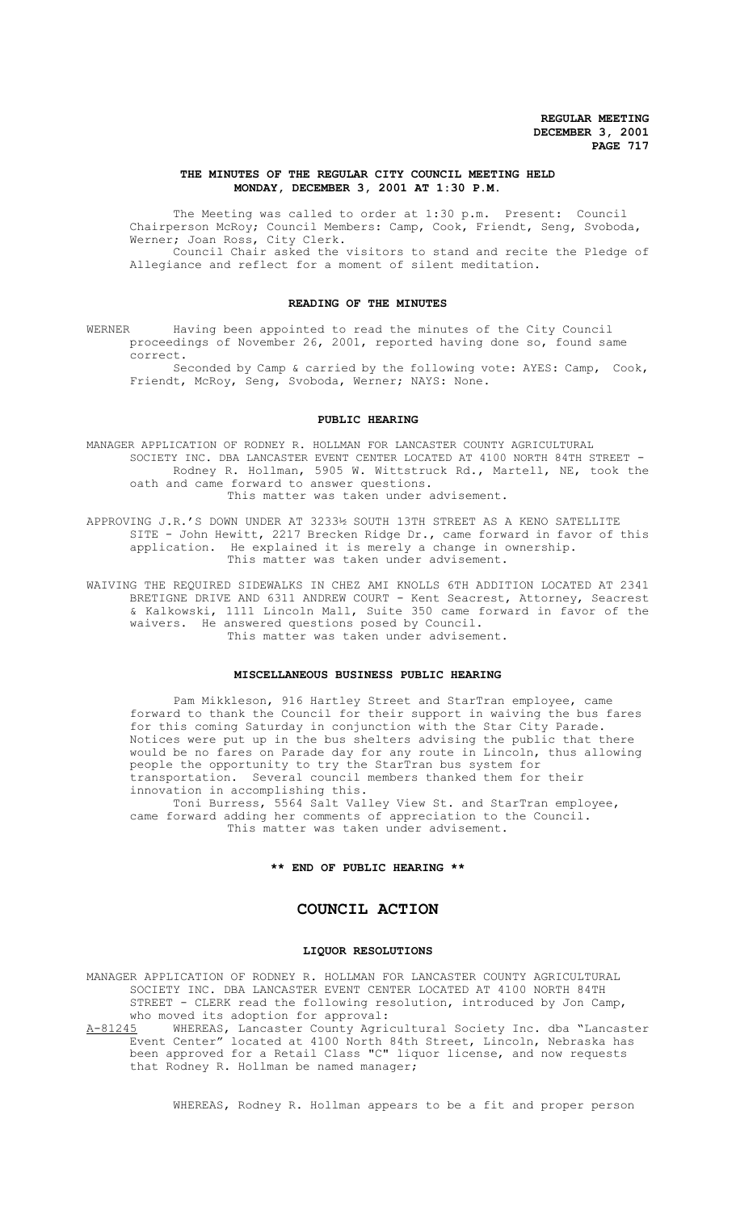### **THE MINUTES OF THE REGULAR CITY COUNCIL MEETING HELD MONDAY, DECEMBER 3, 2001 AT 1:30 P.M.**

The Meeting was called to order at 1:30 p.m. Present: Council Chairperson McRoy; Council Members: Camp, Cook, Friendt, Seng, Svoboda, Werner; Joan Ross, City Clerk. Council Chair asked the visitors to stand and recite the Pledge of Allegiance and reflect for a moment of silent meditation.

#### **READING OF THE MINUTES**

WERNER Having been appointed to read the minutes of the City Council proceedings of November 26, 2001, reported having done so, found same correct.

Seconded by Camp & carried by the following vote: AYES: Camp, Cook, Friendt, McRoy, Seng, Svoboda, Werner; NAYS: None.

#### **PUBLIC HEARING**

MANAGER APPLICATION OF RODNEY R. HOLLMAN FOR LANCASTER COUNTY AGRICULTURAL SOCIETY INC. DBA LANCASTER EVENT CENTER LOCATED AT 4100 NORTH 84TH STREET - Rodney R. Hollman, 5905 W. Wittstruck Rd., Martell, NE, took the oath and came forward to answer questions. This matter was taken under advisement.

APPROVING J.R.'S DOWN UNDER AT 3233½ SOUTH 13TH STREET AS A KENO SATELLITE SITE - John Hewitt, 2217 Brecken Ridge Dr., came forward in favor of this application. He explained it is merely a change in ownership. This matter was taken under advisement.

WAIVING THE REQUIRED SIDEWALKS IN CHEZ AMI KNOLLS 6TH ADDITION LOCATED AT 2341 BRETIGNE DRIVE AND 6311 ANDREW COURT - Kent Seacrest, Attorney, Seacrest & Kalkowski, 1111 Lincoln Mall, Suite 350 came forward in favor of the waivers. He answered questions posed by Council. This matter was taken under advisement.

### **MISCELLANEOUS BUSINESS PUBLIC HEARING**

Pam Mikkleson, 916 Hartley Street and StarTran employee, came forward to thank the Council for their support in waiving the bus fares for this coming Saturday in conjunction with the Star City Parade. Notices were put up in the bus shelters advising the public that there would be no fares on Parade day for any route in Lincoln, thus allowing people the opportunity to try the StarTran bus system for transportation. Several council members thanked them for their innovation in accomplishing this.

Toni Burress, 5564 Salt Valley View St. and StarTran employee, came forward adding her comments of appreciation to the Council. This matter was taken under advisement.

### **\*\* END OF PUBLIC HEARING \*\***

# **COUNCIL ACTION**

#### **LIQUOR RESOLUTIONS**

MANAGER APPLICATION OF RODNEY R. HOLLMAN FOR LANCASTER COUNTY AGRICULTURAL SOCIETY INC. DBA LANCASTER EVENT CENTER LOCATED AT 4100 NORTH 84TH STREET - CLERK read the following resolution, introduced by Jon Camp,

who moved its adoption for approval:<br>A-81245 WHEREAS, Lancaster County Agric A-81245 MHEREAS, Lancaster County Agricultural Society Inc. dba "Lancaster Event Center" located at 4100 North 84th Street, Lincoln, Nebraska has been approved for a Retail Class "C" liquor license, and now requests that Rodney R. Hollman be named manager;

WHEREAS, Rodney R. Hollman appears to be a fit and proper person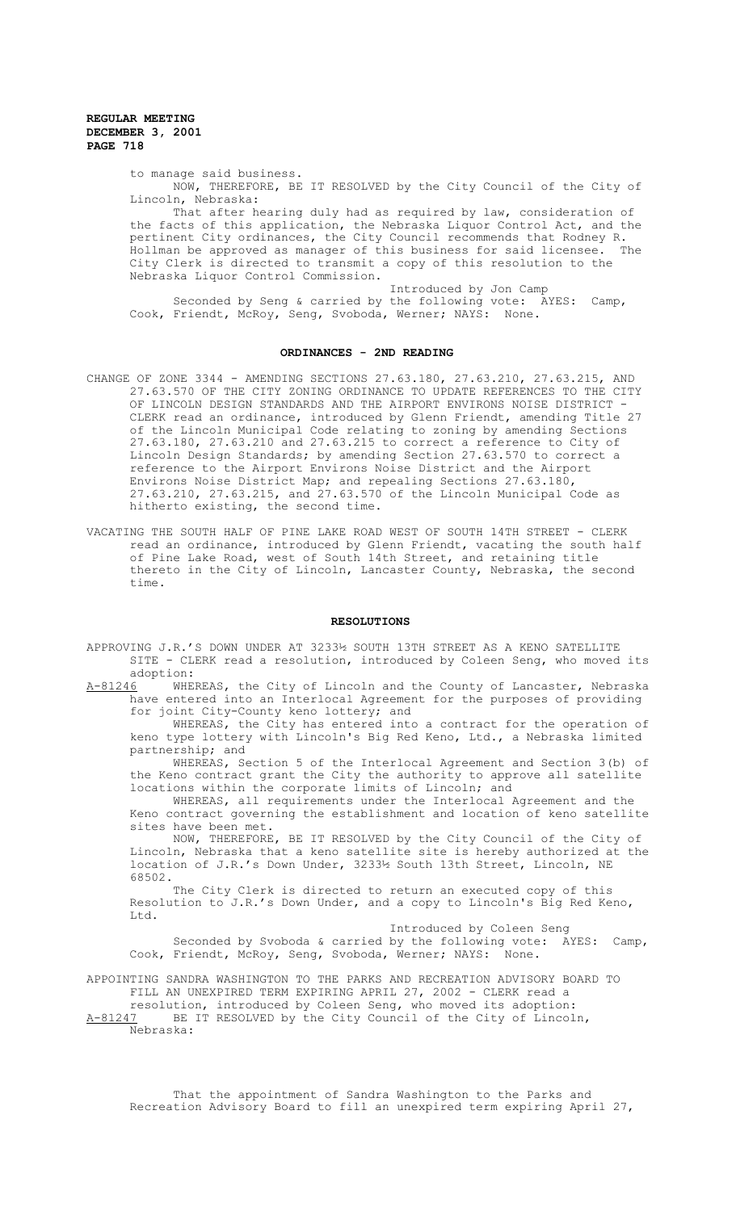to manage said business.

NOW, THEREFORE, BE IT RESOLVED by the City Council of the City of Lincoln, Nebraska:

That after hearing duly had as required by law, consideration of the facts of this application, the Nebraska Liquor Control Act, and the pertinent City ordinances, the City Council recommends that Rodney R. Hollman be approved as manager of this business for said licensee. The City Clerk is directed to transmit a copy of this resolution to the Nebraska Liquor Control Commission.

Introduced by Jon Camp Seconded by Seng & carried by the following vote: AYES: Camp, Cook, Friendt, McRoy, Seng, Svoboda, Werner; NAYS: None.

### **ORDINANCES - 2ND READING**

- CHANGE OF ZONE 3344 AMENDING SECTIONS 27.63.180, 27.63.210, 27.63.215, AND 27.63.570 OF THE CITY ZONING ORDINANCE TO UPDATE REFERENCES TO THE CITY OF LINCOLN DESIGN STANDARDS AND THE AIRPORT ENVIRONS NOISE DISTRICT - CLERK read an ordinance, introduced by Glenn Friendt, amending Title 27 of the Lincoln Municipal Code relating to zoning by amending Sections 27.63.180, 27.63.210 and 27.63.215 to correct a reference to City of Lincoln Design Standards; by amending Section 27.63.570 to correct a reference to the Airport Environs Noise District and the Airport Environs Noise District Map; and repealing Sections 27.63.180, 27.63.210, 27.63.215, and 27.63.570 of the Lincoln Municipal Code as hitherto existing, the second time.
- VACATING THE SOUTH HALF OF PINE LAKE ROAD WEST OF SOUTH 14TH STREET CLERK read an ordinance, introduced by Glenn Friendt, vacating the south half of Pine Lake Road, west of South 14th Street, and retaining title thereto in the City of Lincoln, Lancaster County, Nebraska, the second time.

### **RESOLUTIONS**

- APPROVING J.R.'S DOWN UNDER AT 3233½ SOUTH 13TH STREET AS A KENO SATELLITE SITE - CLERK read a resolution, introduced by Coleen Seng, who moved its adoption:
- A-81246 WHEREAS, the City of Lincoln and the County of Lancaster, Nebraska have entered into an Interlocal Agreement for the purposes of providing for joint City-County keno lottery; and

WHEREAS, the City has entered into a contract for the operation of keno type lottery with Lincoln's Big Red Keno, Ltd., a Nebraska limited partnership; and

WHEREAS, Section 5 of the Interlocal Agreement and Section 3(b) of the Keno contract grant the City the authority to approve all satellite locations within the corporate limits of Lincoln; and

WHEREAS, all requirements under the Interlocal Agreement and the Keno contract governing the establishment and location of keno satellite sites have been met.

NOW, THEREFORE, BE IT RESOLVED by the City Council of the City of Lincoln, Nebraska that a keno satellite site is hereby authorized at the location of J.R.'s Down Under, 3233½ South 13th Street, Lincoln, NE 68502.

The City Clerk is directed to return an executed copy of this Resolution to J.R.'s Down Under, and a copy to Lincoln's Big Red Keno, Ltd.

Introduced by Coleen Seng Seconded by Svoboda & carried by the following vote: AYES: Camp,<br>Friendt, McRov, Seng, Svoboda, Werner: NAYS: None. Cook, Friendt, McRoy, Seng, Svoboda, Werner; NAYS:

APPOINTING SANDRA WASHINGTON TO THE PARKS AND RECREATION ADVISORY BOARD TO FILL AN UNEXPIRED TERM EXPIRING APRIL 27, 2002 - CLERK read a resolution, introduced by Coleen Seng, who moved its adoption:

A-81247 BE IT RESOLVED by the City Council of the City of Lincoln, Nebraska:

That the appointment of Sandra Washington to the Parks and Recreation Advisory Board to fill an unexpired term expiring April 27,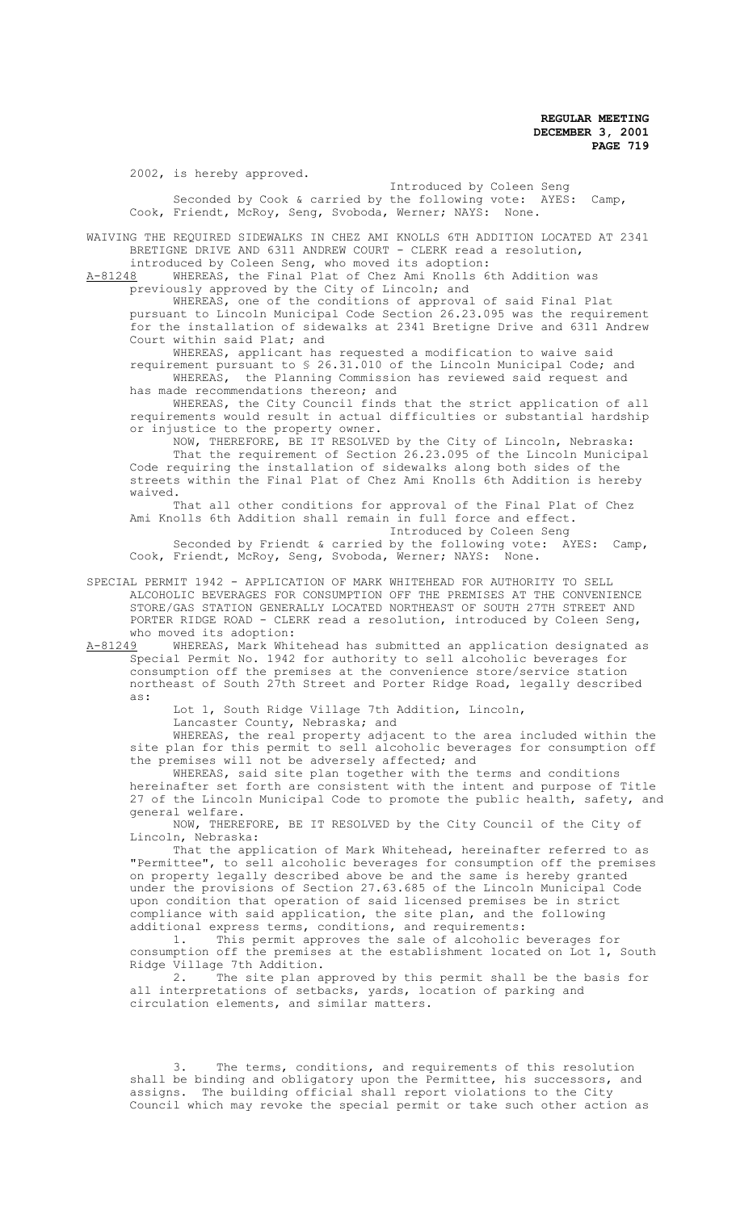2002, is hereby approved.

Introduced by Coleen Seng Seconded by Cook & carried by the following vote: AYES: Camp, Cook, Friendt, McRoy, Seng, Svoboda, Werner; NAYS: None.

WAIVING THE REQUIRED SIDEWALKS IN CHEZ AMI KNOLLS 6TH ADDITION LOCATED AT 2341 BRETIGNE DRIVE AND 6311 ANDREW COURT - CLERK read a resolution,

introduced by Coleen Seng, who moved its adoption:<br>A-81248 WHEREAS, the Final Plat of Chez Ami Knolls 6 WHEREAS, the Final Plat of Chez Ami Knolls 6th Addition was previously approved by the City of Lincoln; and

WHEREAS, one of the conditions of approval of said Final Plat pursuant to Lincoln Municipal Code Section 26.23.095 was the requirement for the installation of sidewalks at 2341 Bretigne Drive and 6311 Andrew Court within said Plat; and

WHEREAS, applicant has requested a modification to waive said requirement pursuant to § 26.31.010 of the Lincoln Municipal Code; and WHEREAS, the Planning Commission has reviewed said request and has made recommendations thereon; and

WHEREAS, the City Council finds that the strict application of all requirements would result in actual difficulties or substantial hardship or injustice to the property owner.

NOW, THEREFORE, BE IT RESOLVED by the City of Lincoln, Nebraska: That the requirement of Section 26.23.095 of the Lincoln Municipal Code requiring the installation of sidewalks along both sides of the streets within the Final Plat of Chez Ami Knolls 6th Addition is hereby waived.

That all other conditions for approval of the Final Plat of Chez Ami Knolls 6th Addition shall remain in full force and effect. Introduced by Coleen Seng

Seconded by Friendt & carried by the following vote: AYES: Camp,<br>Friendt, McRov, Seng, Svoboda, Werner; NAYS: None. Cook, Friendt, McRoy, Seng, Svoboda, Werner; NAYS:

SPECIAL PERMIT 1942 - APPLICATION OF MARK WHITEHEAD FOR AUTHORITY TO SELL ALCOHOLIC BEVERAGES FOR CONSUMPTION OFF THE PREMISES AT THE CONVENIENCE STORE/GAS STATION GENERALLY LOCATED NORTHEAST OF SOUTH 27TH STREET AND PORTER RIDGE ROAD - CLERK read a resolution, introduced by Coleen Seng, who moved its adoption:<br>A-81249 WHEREAS, Mark Whi

WHEREAS, Mark Whitehead has submitted an application designated as Special Permit No. 1942 for authority to sell alcoholic beverages for consumption off the premises at the convenience store/service station northeast of South 27th Street and Porter Ridge Road, legally described as:

Lot 1, South Ridge Village 7th Addition, Lincoln,

Lancaster County, Nebraska; and

WHEREAS, the real property adjacent to the area included within the site plan for this permit to sell alcoholic beverages for consumption off the premises will not be adversely affected; and

WHEREAS, said site plan together with the terms and conditions hereinafter set forth are consistent with the intent and purpose of Title 27 of the Lincoln Municipal Code to promote the public health, safety, and general welfare.

NOW, THEREFORE, BE IT RESOLVED by the City Council of the City of Lincoln, Nebraska:

That the application of Mark Whitehead, hereinafter referred to as "Permittee", to sell alcoholic beverages for consumption off the premises on property legally described above be and the same is hereby granted under the provisions of Section 27.63.685 of the Lincoln Municipal Code upon condition that operation of said licensed premises be in strict compliance with said application, the site plan, and the following additional express terms, conditions, and requirements:

1. This permit approves the sale of alcoholic beverages for consumption off the premises at the establishment located on Lot 1, South Ridge Village 7th Addition.<br>2. The site plan an

The site plan approved by this permit shall be the basis for all interpretations of setbacks, yards, location of parking and circulation elements, and similar matters.

3. The terms, conditions, and requirements of this resolution shall be binding and obligatory upon the Permittee, his successors, and assigns. The building official shall report violations to the City Council which may revoke the special permit or take such other action as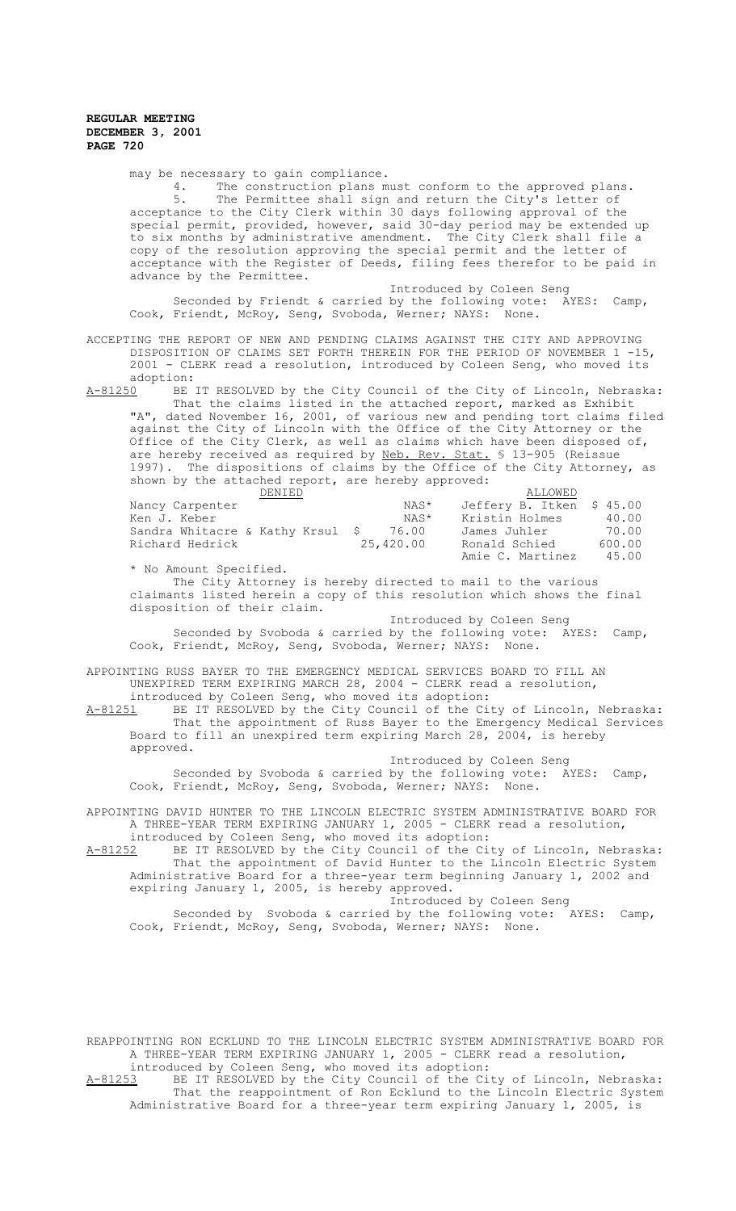may be necessary to gain compliance.<br>4. The construction plans m 4. The construction plans must conform to the approved plans. 5. The Permittee shall sign and return the City's letter of acceptance to the City Clerk within 30 days following approval of the special permit, provided, however, said 30-day period may be extended up to six months by administrative amendment. The City Clerk shall file a copy of the resolution approving the special permit and the letter of acceptance with the Register of Deeds, filing fees therefor to be paid in advance by the Permittee.

Introduced by Coleen Seng Seconded by Friendt & carried by the following vote: AYES: Camp,<br>Friendt, McRoy, Seng, Svoboda, Werner; NAYS: None. Cook, Friendt, McRoy, Seng, Svoboda, Werner; NAYS:

ACCEPTING THE REPORT OF NEW AND PENDING CLAIMS AGAINST THE CITY AND APPROVING DISPOSITION OF CLAIMS SET FORTH THEREIN FOR THE PERIOD OF NOVEMBER 1 -15, 2001 - CLERK read a resolution, introduced by Coleen Seng, who moved its adoption:<br>A-81250 BE

A-81250 BE IT RESOLVED by the City Council of the City of Lincoln, Nebraska: That the claims listed in the attached report, marked as Exhibit "A", dated November 16, 2001, of various new and pending tort claims filed against the City of Lincoln with the Office of the City Attorney or the Office of the City Clerk, as well as claims which have been disposed of, are hereby received as required by Neb. Rev. Stat. § 13-905 (Reissue 1997). The dispositions of claims by the Office of the City Attorney, as shown by the attached report, are hereby approved:

| DENIED                           |           | ALLOWED                   |        |
|----------------------------------|-----------|---------------------------|--------|
| Nancy Carpenter                  | NAS*      | Jeffery B. Itken \$ 45.00 |        |
| Ken J. Keber                     | NAS*      | Kristin Holmes            | 40.00  |
| Sandra Whitacre & Kathy Krsul \$ | 76.00     | James Juhler              | 70.00  |
| Richard Hedrick                  | 25,420.00 | Ronald Schied             | 600.00 |
|                                  |           | Amie C. Martinez          | 45.00  |

\* No Amount Specified. The City Attorney is hereby directed to mail to the various

claimants listed herein a copy of this resolution which shows the final disposition of their claim.

 Introduced by Coleen Seng Seconded by Svoboda & carried by the following vote: AYES: Camp,<br>Friendt, McRov, Seng, Svoboda, Werner; NAYS: None. Cook, Friendt, McRoy, Seng, Svoboda, Werner; NAYS:

APPOINTING RUSS BAYER TO THE EMERGENCY MEDICAL SERVICES BOARD TO FILL AN UNEXPIRED TERM EXPIRING MARCH 28, 2004 - CLERK read a resolution, introduced by Coleen Seng, who moved its adoption:<br>A-81251 BE IT RESOLVED by the City Council of the Ci-

BE IT RESOLVED by the City Council of the City of Lincoln, Nebraska: That the appointment of Russ Bayer to the Emergency Medical Services Board to fill an unexpired term expiring March 28, 2004, is hereby approved.

Introduced by Coleen Seng Seconded by Svoboda & carried by the following vote: AYES: Camp, Cook, Friendt, McRoy, Seng, Svoboda, Werner; NAYS: None.

APPOINTING DAVID HUNTER TO THE LINCOLN ELECTRIC SYSTEM ADMINISTRATIVE BOARD FOR A THREE-YEAR TERM EXPIRING JANUARY 1, 2005 - CLERK read a resolution,

introduced by Coleen Seng, who moved its adoption: A-81252 BE IT RESOLVED by the City Council of the City of Lincoln, Nebraska: That the appointment of David Hunter to the Lincoln Electric System Administrative Board for a three-year term beginning January 1, 2002 and expiring January 1, 2005, is hereby approved. Introduced by Coleen Seng

Seconded by Svoboda & carried by the following vote: AYES: Camp, Cook, Friendt, McRoy, Seng, Svoboda, Werner; NAYS: None.

REAPPOINTING RON ECKLUND TO THE LINCOLN ELECTRIC SYSTEM ADMINISTRATIVE BOARD FOR A THREE-YEAR TERM EXPIRING JANUARY 1, 2005 - CLERK read a resolution, introduced by Coleen Seng, who moved its adoption:

A-81253 BE IT RESOLVED by the City Council of the City of Lincoln, Nebraska: That the reappointment of Ron Ecklund to the Lincoln Electric System Administrative Board for a three-year term expiring January 1, 2005, is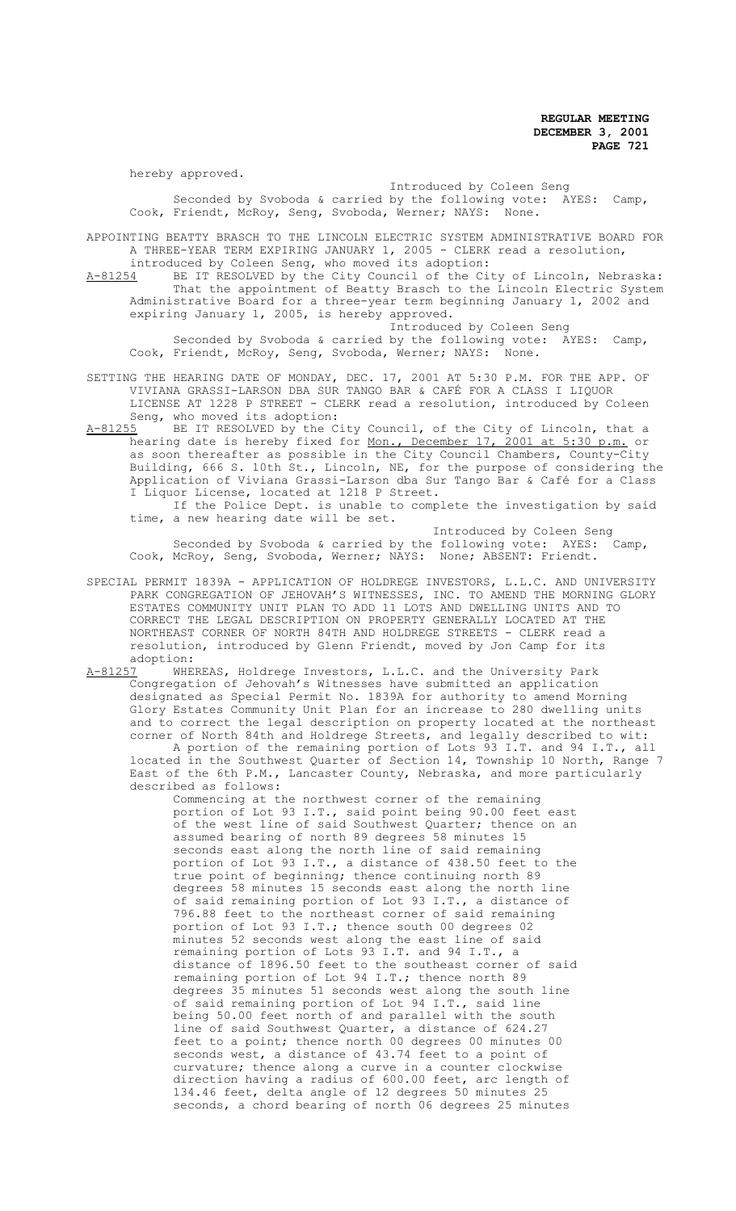hereby approved.

Introduced by Coleen Seng Seconded by Svoboda & carried by the following vote: AYES: Camp, Cook, Friendt, McRoy, Seng, Svoboda, Werner; NAYS: None.

APPOINTING BEATTY BRASCH TO THE LINCOLN ELECTRIC SYSTEM ADMINISTRATIVE BOARD FOR A THREE-YEAR TERM EXPIRING JANUARY 1, 2005 - CLERK read a resolution,

introduced by Coleen Seng, who moved its adoption: A-81254 BE IT RESOLVED by the City Council of the City of Lincoln, Nebraska: That the appointment of Beatty Brasch to the Lincoln Electric System Administrative Board for a three-year term beginning January 1, 2002 and expiring January 1, 2005, is hereby approved. Introduced by Coleen Seng

Seconded by Svoboda & carried by the following vote: AYES: Camp, Cook, Friendt, McRoy, Seng, Svoboda, Werner; NAYS: None.

- SETTING THE HEARING DATE OF MONDAY, DEC. 17, 2001 AT 5:30 P.M. FOR THE APP. OF VIVIANA GRASSI-LARSON DBA SUR TANGO BAR & CAFÉ FOR A CLASS I LIQUOR LICENSE AT 1228 P STREET - CLERK read a resolution, introduced by Coleen Seng, who moved its adoption:<br>A-81255 BE IT RESOLVED by the C
- A-81255 BE IT RESOLVED by the City Council, of the City of Lincoln, that a hearing date is hereby fixed for <u>Mon., December 17, 2001 at 5:30 p.m.</u> or as soon thereafter as possible in the City Council Chambers, County-City Building, 666 S. 10th St., Lincoln, NE, for the purpose of considering the Application of Viviana Grassi-Larson dba Sur Tango Bar & Café for a Class I Liquor License, located at 1218 P Street. If the Police Dept. is unable to complete the investigation by said

time, a new hearing date will be set.

Introduced by Coleen Seng Seconded by Svoboda & carried by the following vote: AYES: Camp, Cook, McRoy, Seng, Svoboda, Werner; NAYS: None; ABSENT: Friendt.

- SPECIAL PERMIT 1839A APPLICATION OF HOLDREGE INVESTORS, L.L.C. AND UNIVERSITY PARK CONGREGATION OF JEHOVAH'S WITNESSES, INC. TO AMEND THE MORNING GLORY ESTATES COMMUNITY UNIT PLAN TO ADD 11 LOTS AND DWELLING UNITS AND TO CORRECT THE LEGAL DESCRIPTION ON PROPERTY GENERALLY LOCATED AT THE NORTHEAST CORNER OF NORTH 84TH AND HOLDREGE STREETS - CLERK read a resolution, introduced by Glenn Friendt, moved by Jon Camp for its adoption:<br>A-81257 WHE
- A-81257 WHEREAS, Holdrege Investors, L.L.C. and the University Park Congregation of Jehovah's Witnesses have submitted an application designated as Special Permit No. 1839A for authority to amend Morning Glory Estates Community Unit Plan for an increase to 280 dwelling units and to correct the legal description on property located at the northeast corner of North 84th and Holdrege Streets, and legally described to wit: A portion of the remaining portion of Lots 93 I.T. and 94 I.T., all located in the Southwest Quarter of Section 14, Township 10 North, Range 7 East of the 6th P.M., Lancaster County, Nebraska, and more particularly described as follows:

Commencing at the northwest corner of the remaining portion of Lot 93 I.T., said point being 90.00 feet east of the west line of said Southwest Quarter; thence on an assumed bearing of north 89 degrees 58 minutes 15 seconds east along the north line of said remaining portion of Lot 93 I.T., a distance of 438.50 feet to the true point of beginning; thence continuing north 89 degrees 58 minutes 15 seconds east along the north line of said remaining portion of Lot 93 I.T., a distance of 796.88 feet to the northeast corner of said remaining portion of Lot 93 I.T.; thence south 00 degrees 02 minutes 52 seconds west along the east line of said remaining portion of Lots 93 I.T. and 94 I.T., a distance of 1896.50 feet to the southeast corner of said remaining portion of Lot 94 I.T.; thence north 89 degrees 35 minutes 51 seconds west along the south line of said remaining portion of Lot 94 I.T., said line being 50.00 feet north of and parallel with the south line of said Southwest Quarter, a distance of 624.27 feet to a point; thence north 00 degrees 00 minutes 00 seconds west, a distance of 43.74 feet to a point of curvature; thence along a curve in a counter clockwise direction having a radius of 600.00 feet, arc length of 134.46 feet, delta angle of 12 degrees 50 minutes 25 seconds, a chord bearing of north 06 degrees 25 minutes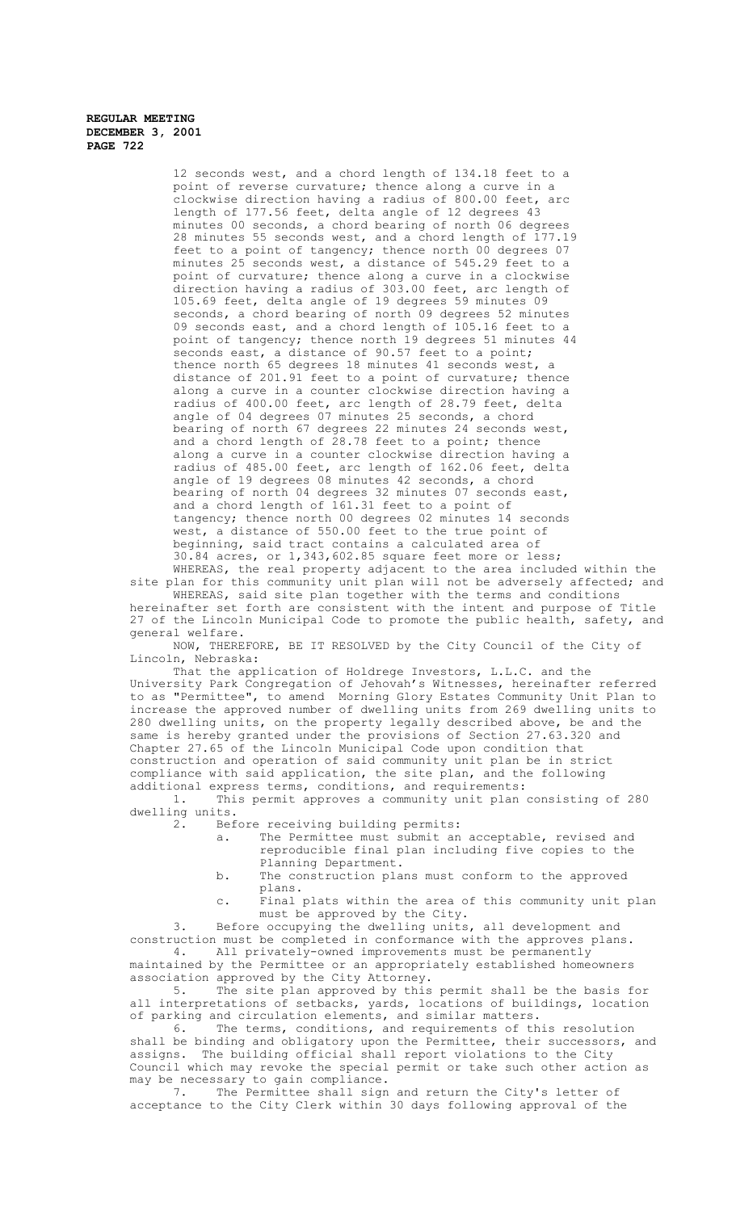> 12 seconds west, and a chord length of 134.18 feet to a point of reverse curvature; thence along a curve in a clockwise direction having a radius of 800.00 feet, arc length of 177.56 feet, delta angle of 12 degrees 43 minutes 00 seconds, a chord bearing of north 06 degrees 28 minutes 55 seconds west, and a chord length of 177.19 feet to a point of tangency; thence north  $00$  degrees 07 minutes 25 seconds west, a distance of 545.29 feet to a point of curvature; thence along a curve in a clockwise direction having a radius of 303.00 feet, arc length of 105.69 feet, delta angle of 19 degrees 59 minutes 09 seconds, a chord bearing of north 09 degrees 52 minutes 09 seconds east, and a chord length of 105.16 feet to a point of tangency; thence north 19 degrees 51 minutes 44 seconds east, a distance of 90.57 feet to a point; thence north 65 degrees 18 minutes 41 seconds west, a distance of 201.91 feet to a point of curvature; thence along a curve in a counter clockwise direction having a radius of 400.00 feet, arc length of 28.79 feet, delta angle of 04 degrees 07 minutes 25 seconds, a chord bearing of north 67 degrees 22 minutes 24 seconds west, and a chord length of 28.78 feet to a point; thence along a curve in a counter clockwise direction having a radius of 485.00 feet, arc length of 162.06 feet, delta angle of 19 degrees 08 minutes 42 seconds, a chord bearing of north 04 degrees 32 minutes 07 seconds east, and a chord length of 161.31 feet to a point of tangency; thence north 00 degrees 02 minutes 14 seconds west, a distance of 550.00 feet to the true point of beginning, said tract contains a calculated area of 30.84 acres, or 1,343,602.85 square feet more or less; WHEREAS, the real property adjacent to the area included within the

site plan for this community unit plan will not be adversely affected; and WHEREAS, said site plan together with the terms and conditions

hereinafter set forth are consistent with the intent and purpose of Title 27 of the Lincoln Municipal Code to promote the public health, safety, and general welfare.

NOW, THEREFORE, BE IT RESOLVED by the City Council of the City of Lincoln, Nebraska:

That the application of Holdrege Investors, L.L.C. and the University Park Congregation of Jehovah's Witnesses, hereinafter referred to as "Permittee", to amend Morning Glory Estates Community Unit Plan to increase the approved number of dwelling units from 269 dwelling units to 280 dwelling units, on the property legally described above, be and the same is hereby granted under the provisions of Section 27.63.320 and Chapter 27.65 of the Lincoln Municipal Code upon condition that construction and operation of said community unit plan be in strict compliance with said application, the site plan, and the following additional express terms, conditions, and requirements:<br>1. This permit approves a community unit plan

This permit approves a community unit plan consisting of 280 dwelling units.

2. Before receiving building permits:

- a. The Permittee must submit an acceptable, revised and reproducible final plan including five copies to the Planning Department.
- b. The construction plans must conform to the approved plans.

c. Final plats within the area of this community unit plan must be approved by the City.

3. Before occupying the dwelling units, all development and construction must be completed in conformance with the approves plans.<br>4. All privately-owned improvements must be permanently All privately-owned improvements must be permanently maintained by the Permittee or an appropriately established homeowners

association approved by the City Attorney.

5. The site plan approved by this permit shall be the basis for all interpretations of setbacks, yards, locations of buildings, location of parking and circulation elements, and similar matters.<br>6. The terms, conditions, and requirements of the

The terms, conditions, and requirements of this resolution shall be binding and obligatory upon the Permittee, their successors, and assigns. The building official shall report violations to the City Council which may revoke the special permit or take such other action as may be necessary to gain compliance.

7. The Permittee shall sign and return the City's letter of acceptance to the City Clerk within 30 days following approval of the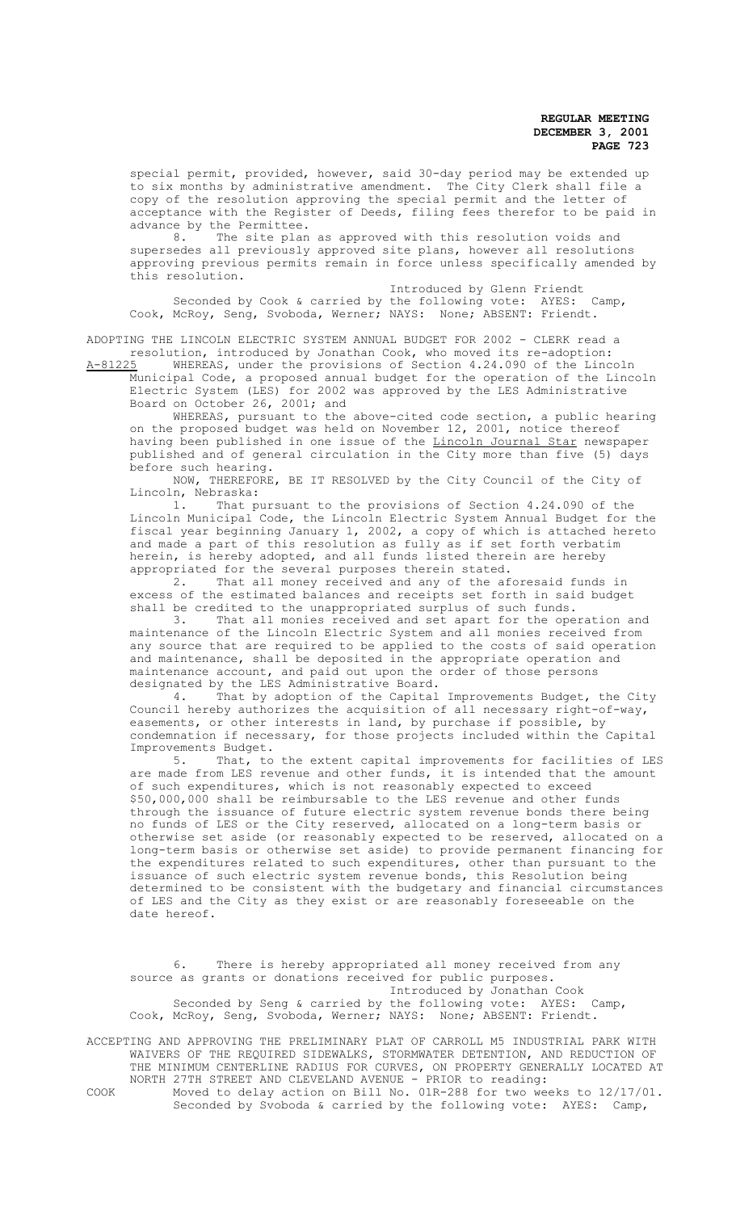special permit, provided, however, said 30-day period may be extended up to six months by administrative amendment. The City Clerk shall file a copy of the resolution approving the special permit and the letter of acceptance with the Register of Deeds, filing fees therefor to be paid in advance by the Permittee.<br>8. The site plan

The site plan as approved with this resolution voids and supersedes all previously approved site plans, however all resolutions approving previous permits remain in force unless specifically amended by this resolution.

Introduced by Glenn Friendt Seconded by Cook & carried by the following vote: AYES: Camp, Cook, McRoy, Seng, Svoboda, Werner; NAYS: None; ABSENT: Friendt.

ADOPTING THE LINCOLN ELECTRIC SYSTEM ANNUAL BUDGET FOR 2002 - CLERK read a resolution, introduced by Jonathan Cook, who moved its re-adoption:<br>A-81225 WHEREAS, under the provisions of Section 4 24 090 of the Linco

WHEREAS, under the provisions of Section 4.24.090 of the Lincoln Municipal Code, a proposed annual budget for the operation of the Lincoln Electric System (LES) for 2002 was approved by the LES Administrative Board on October 26, 2001; and

WHEREAS, pursuant to the above-cited code section, a public hearing on the proposed budget was held on November 12, 2001, notice thereof having been published in one issue of the <u>Lincoln Journal Star</u> newspaper published and of general circulation in the City more than five (5) days before such hearing.

NOW, THEREFORE, BE IT RESOLVED by the City Council of the City of Lincoln, Nebraska:

1. That pursuant to the provisions of Section 4.24.090 of the Lincoln Municipal Code, the Lincoln Electric System Annual Budget for the fiscal year beginning January 1, 2002, a copy of which is attached hereto and made a part of this resolution as fully as if set forth verbatim herein, is hereby adopted, and all funds listed therein are hereby appropriated for the several purposes therein stated.

2. That all money received and any of the aforesaid funds in excess of the estimated balances and receipts set forth in said budget shall be credited to the unappropriated surplus of such funds.

3. That all monies received and set apart for the operation and maintenance of the Lincoln Electric System and all monies received from any source that are required to be applied to the costs of said operation and maintenance, shall be deposited in the appropriate operation and maintenance account, and paid out upon the order of those persons designated by the LES Administrative Board.

4. That by adoption of the Capital Improvements Budget, the City Council hereby authorizes the acquisition of all necessary right-of-way, easements, or other interests in land, by purchase if possible, by condemnation if necessary, for those projects included within the Capital Improvements Budget.

5. That, to the extent capital improvements for facilities of LES are made from LES revenue and other funds, it is intended that the amount of such expenditures, which is not reasonably expected to exceed \$50,000,000 shall be reimbursable to the LES revenue and other funds through the issuance of future electric system revenue bonds there being no funds of LES or the City reserved, allocated on a long-term basis or otherwise set aside (or reasonably expected to be reserved, allocated on a long-term basis or otherwise set aside) to provide permanent financing for the expenditures related to such expenditures, other than pursuant to the issuance of such electric system revenue bonds, this Resolution being determined to be consistent with the budgetary and financial circumstances of LES and the City as they exist or are reasonably foreseeable on the date hereof.

6. There is hereby appropriated all money received from any source as grants or donations received for public purposes. Introduced by Jonathan Cook Seconded by Seng & carried by the following vote: AYES: Camp, Cook, McRoy, Seng, Svoboda, Werner; NAYS: None; ABSENT: Friendt.

ACCEPTING AND APPROVING THE PRELIMINARY PLAT OF CARROLL M5 INDUSTRIAL PARK WITH WAIVERS OF THE REQUIRED SIDEWALKS, STORMWATER DETENTION, AND REDUCTION OF THE MINIMUM CENTERLINE RADIUS FOR CURVES, ON PROPERTY GENERALLY LOCATED AT NORTH 27TH STREET AND CLEVELAND AVENUE - PRIOR to reading: COOK Moved to delay action on Bill No. 01R-288 for two weeks to 12/17/01. Seconded by Svoboda & carried by the following vote: AYES: Camp,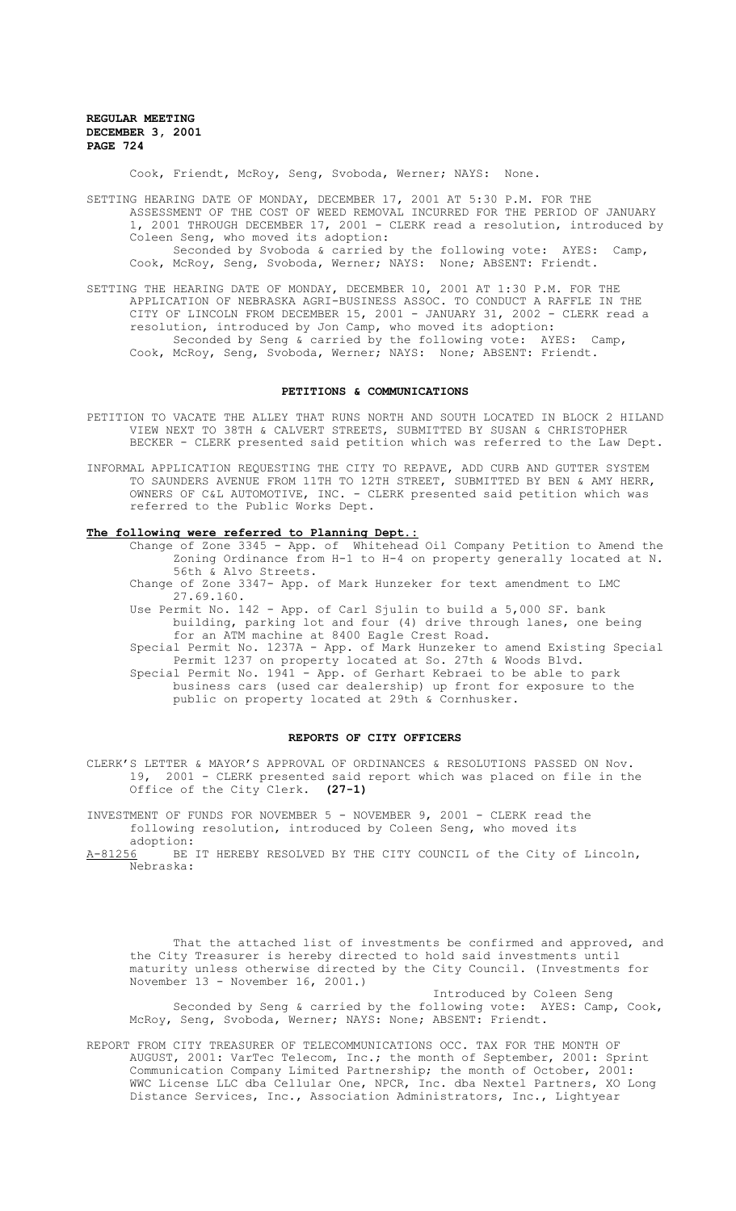Cook, Friendt, McRoy, Seng, Svoboda, Werner; NAYS: None.

SETTING HEARING DATE OF MONDAY, DECEMBER 17, 2001 AT 5:30 P.M. FOR THE ASSESSMENT OF THE COST OF WEED REMOVAL INCURRED FOR THE PERIOD OF JANUARY 1, 2001 THROUGH DECEMBER 17, 2001 - CLERK read a resolution, introduced by Coleen Seng, who moved its adoption: Seconded by Svoboda & carried by the following vote: AYES: Camp, Cook, McRoy, Seng, Svoboda, Werner; NAYS: None; ABSENT: Friendt.

SETTING THE HEARING DATE OF MONDAY, DECEMBER 10, 2001 AT 1:30 P.M. FOR THE APPLICATION OF NEBRASKA AGRI-BUSINESS ASSOC. TO CONDUCT A RAFFLE IN THE CITY OF LINCOLN FROM DECEMBER 15, 2001 - JANUARY 31, 2002 - CLERK read a resolution, introduced by Jon Camp, who moved its adoption: Seconded by Seng & carried by the following vote: AYES: Camp, Cook, McRoy, Seng, Svoboda, Werner; NAYS: None; ABSENT: Friendt.

#### **PETITIONS & COMMUNICATIONS**

- PETITION TO VACATE THE ALLEY THAT RUNS NORTH AND SOUTH LOCATED IN BLOCK 2 HILAND VIEW NEXT TO 38TH & CALVERT STREETS, SUBMITTED BY SUSAN & CHRISTOPHER BECKER - CLERK presented said petition which was referred to the Law Dept.
- INFORMAL APPLICATION REQUESTING THE CITY TO REPAVE, ADD CURB AND GUTTER SYSTEM TO SAUNDERS AVENUE FROM 11TH TO 12TH STREET, SUBMITTED BY BEN & AMY HERR, OWNERS OF C&L AUTOMOTIVE, INC. - CLERK presented said petition which was referred to the Public Works Dept.

### **The following were referred to Planning Dept.:**

- Change of Zone 3345 App. of Whitehead Oil Company Petition to Amend the Zoning Ordinance from H-1 to H-4 on property generally located at N. 56th & Alvo Streets.
- Change of Zone 3347- App. of Mark Hunzeker for text amendment to LMC 27.69.160.
- Use Permit No. 142 App. of Carl Sjulin to build a 5,000 SF. bank building, parking lot and four (4) drive through lanes, one being for an ATM machine at 8400 Eagle Crest Road.
- Special Permit No. 1237A App. of Mark Hunzeker to amend Existing Special Permit 1237 on property located at So. 27th & Woods Blvd. Special Permit No. 1941 - App. of Gerhart Kebraei to be able to park business cars (used car dealership) up front for exposure to the public on property located at 29th & Cornhusker.

#### **REPORTS OF CITY OFFICERS**

CLERK'S LETTER & MAYOR'S APPROVAL OF ORDINANCES & RESOLUTIONS PASSED ON Nov. 19, 2001 - CLERK presented said report which was placed on file in the Office of the City Clerk. **(27-1)**

INVESTMENT OF FUNDS FOR NOVEMBER 5 - NOVEMBER 9, 2001 - CLERK read the following resolution, introduced by Coleen Seng, who moved its adoption:

A-81256 BE IT HEREBY RESOLVED BY THE CITY COUNCIL of the City of Lincoln, Nebraska:

That the attached list of investments be confirmed and approved, and the City Treasurer is hereby directed to hold said investments until maturity unless otherwise directed by the City Council. (Investments for November 13 - November 16, 2001.)

Introduced by Coleen Seng Seconded by Seng & carried by the following vote: AYES: Camp, Cook, McRoy, Seng, Svoboda, Werner; NAYS: None; ABSENT: Friendt.

REPORT FROM CITY TREASURER OF TELECOMMUNICATIONS OCC. TAX FOR THE MONTH OF AUGUST, 2001: VarTec Telecom, Inc.; the month of September, 2001: Sprint Communication Company Limited Partnership; the month of October, 2001: WWC License LLC dba Cellular One, NPCR, Inc. dba Nextel Partners, XO Long Distance Services, Inc., Association Administrators, Inc., Lightyear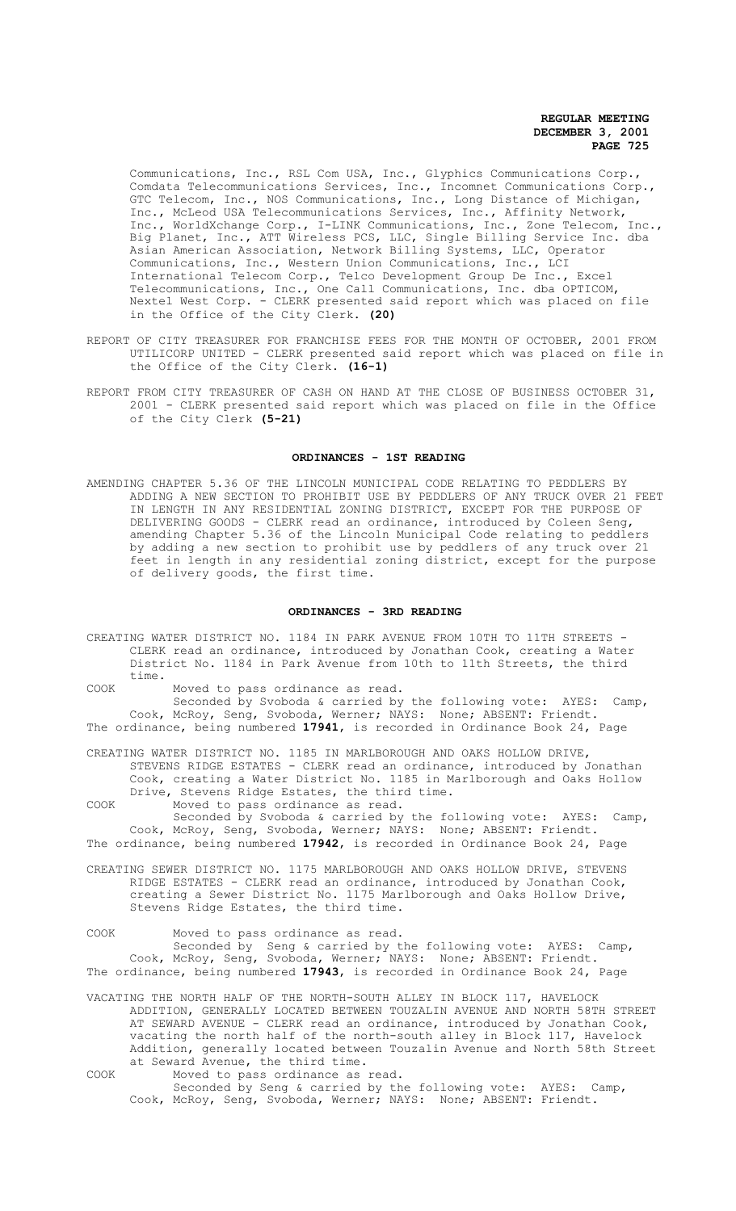Communications, Inc., RSL Com USA, Inc., Glyphics Communications Corp., Comdata Telecommunications Services, Inc., Incomnet Communications Corp., GTC Telecom, Inc., NOS Communications, Inc., Long Distance of Michigan, Inc., McLeod USA Telecommunications Services, Inc., Affinity Network, Inc., WorldXchange Corp., I-LINK Communications, Inc., Zone Telecom, Inc., Big Planet, Inc., ATT Wireless PCS, LLC, Single Billing Service Inc. dba Asian American Association, Network Billing Systems, LLC, Operator Communications, Inc., Western Union Communications, Inc., LCI International Telecom Corp., Telco Development Group De Inc., Excel Telecommunications, Inc., One Call Communications, Inc. dba OPTICOM, Nextel West Corp. - CLERK presented said report which was placed on file in the Office of the City Clerk. **(20)**

- REPORT OF CITY TREASURER FOR FRANCHISE FEES FOR THE MONTH OF OCTOBER, 2001 FROM UTILICORP UNITED - CLERK presented said report which was placed on file in the Office of the City Clerk. **(16-1)**
- REPORT FROM CITY TREASURER OF CASH ON HAND AT THE CLOSE OF BUSINESS OCTOBER 31, 2001 - CLERK presented said report which was placed on file in the Office of the City Clerk **(5-21)**

# **ORDINANCES - 1ST READING**

AMENDING CHAPTER 5.36 OF THE LINCOLN MUNICIPAL CODE RELATING TO PEDDLERS BY ADDING A NEW SECTION TO PROHIBIT USE BY PEDDLERS OF ANY TRUCK OVER 21 FEET IN LENGTH IN ANY RESIDENTIAL ZONING DISTRICT, EXCEPT FOR THE PURPOSE OF DELIVERING GOODS - CLERK read an ordinance, introduced by Coleen Seng, amending Chapter 5.36 of the Lincoln Municipal Code relating to peddlers by adding a new section to prohibit use by peddlers of any truck over 21 feet in length in any residential zoning district, except for the purpose of delivery goods, the first time.

# **ORDINANCES - 3RD READING**

- CREATING WATER DISTRICT NO. 1184 IN PARK AVENUE FROM 10TH TO 11TH STREETS CLERK read an ordinance, introduced by Jonathan Cook, creating a Water District No. 1184 in Park Avenue from 10th to 11th Streets, the third time.
- COOK Moved to pass ordinance as read.

Seconded by Svoboda & carried by the following vote: AYES: Camp, Cook, McRoy, Seng, Svoboda, Werner; NAYS: None; ABSENT: Friendt. The ordinance, being numbered **17941**, is recorded in Ordinance Book 24, Page

CREATING WATER DISTRICT NO. 1185 IN MARLBOROUGH AND OAKS HOLLOW DRIVE, STEVENS RIDGE ESTATES - CLERK read an ordinance, introduced by Jonathan Cook, creating a Water District No. 1185 in Marlborough and Oaks Hollow Drive, Stevens Ridge Estates, the third time.

COOK Moved to pass ordinance as read.

Seconded by Svoboda & carried by the following vote: AYES: Camp, Cook, McRoy, Seng, Svoboda, Werner; NAYS: None; ABSENT: Friendt. The ordinance, being numbered **17942**, is recorded in Ordinance Book 24, Page

- CREATING SEWER DISTRICT NO. 1175 MARLBOROUGH AND OAKS HOLLOW DRIVE, STEVENS RIDGE ESTATES - CLERK read an ordinance, introduced by Jonathan Cook, creating a Sewer District No. 1175 Marlborough and Oaks Hollow Drive, Stevens Ridge Estates, the third time.
- COOK Moved to pass ordinance as read.

Seconded by Seng & carried by the following vote: AYES: Camp, Cook, McRoy, Seng, Svoboda, Werner; NAYS: None; ABSENT: Friendt. The ordinance, being numbered **17943**, is recorded in Ordinance Book 24, Page

- VACATING THE NORTH HALF OF THE NORTH-SOUTH ALLEY IN BLOCK 117, HAVELOCK ADDITION, GENERALLY LOCATED BETWEEN TOUZALIN AVENUE AND NORTH 58TH STREET AT SEWARD AVENUE - CLERK read an ordinance, introduced by Jonathan Cook, vacating the north half of the north-south alley in Block 117, Havelock Addition, generally located between Touzalin Avenue and North 58th Street at Seward Avenue, the third time.
- COOK Moved to pass ordinance as read.

Seconded by Seng & carried by the following vote: AYES: Camp, Cook, McRoy, Seng, Svoboda, Werner; NAYS: None; ABSENT: Friendt.